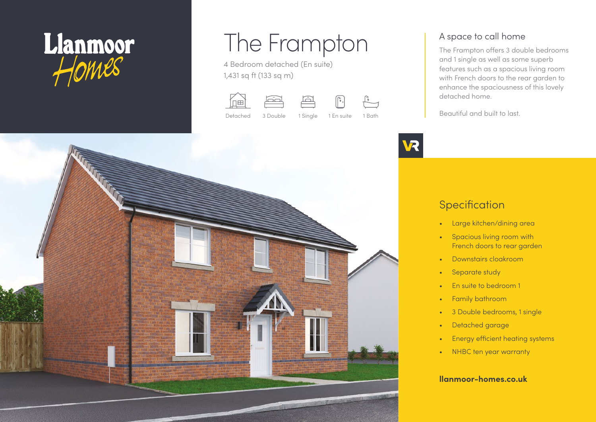

# The Frampton

4 Bedroom detached (En suite) 1,431 sq ft (133 sq m)











#### A space to call home

The Frampton offers 3 double bedrooms and 1 single as well as some superb features such as a spacious living room with French doors to the rear garden to enhance the spaciousness of this lovely detached home.

Beautiful and built to last.

## **Specification**

- Large kitchen/dining area
- Spacious living room with French doors to rear garden
- Downstairs cloakroom
- Separate study
- Fn suite to bedroom 1
- Family bathroom
- 3 Double bedrooms, 1 single
- Detached garage
- Energy efficient heating systems
- NHBC ten year warranty

#### **llanmoor-homes.co.uk**